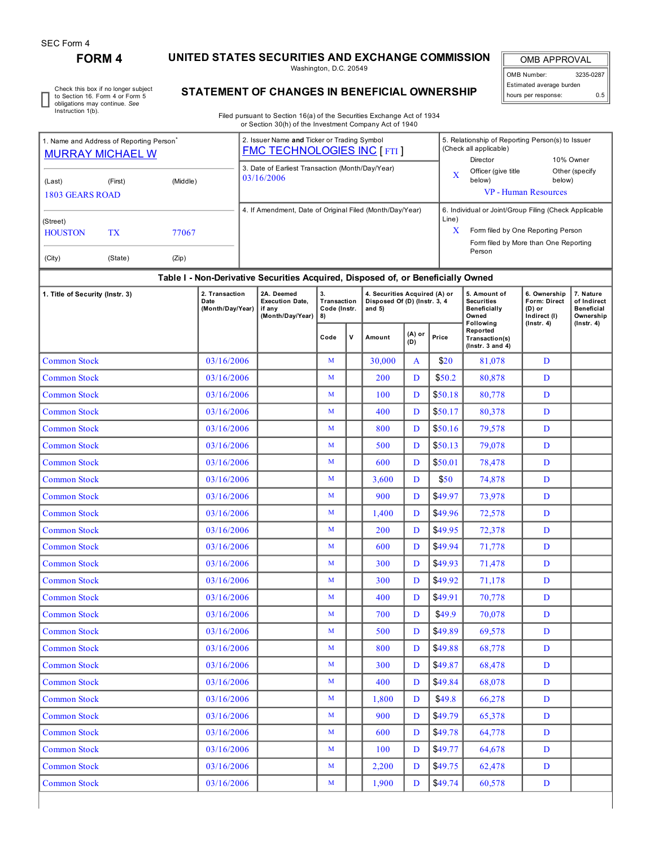## **FORM 4 UNITED STATES SECURITIES AND EXCHANGE COMMISSION**

Washington, D.C. 20549

OMB APPROVAL OMB Number: 3235-0287 Estimated average burden hours per response: 0.5

Check this box if no longer subject to Section 16. Form 4 or Form 5 obligations may continue. *See* Instruction 1(b).

## **STATEMENT OF CHANGES IN BENEFICIAL OWNERSHIP**

Filed pursuant to Section 16(a) of the Securities Exchange Act of 1934 or Section 30(h) of the Investment Company Act of 1940

| 1. Name and Address of Reporting Person<br><b>MURRAY MICHAEL W</b> |           |            |                                            |  | 2. Issuer Name and Ticker or Trading Symbol<br><b>FMC TECHNOLOGIES INC [FTI]</b> |                                         |       |                                                                           |                             | 5. Relationship of Reporting Person(s) to Issuer<br>(Check all applicable)<br>Director<br>10% Owner |                                                                   |                                                          |                                                                                |  |  |  |
|--------------------------------------------------------------------|-----------|------------|--------------------------------------------|--|----------------------------------------------------------------------------------|-----------------------------------------|-------|---------------------------------------------------------------------------|-----------------------------|-----------------------------------------------------------------------------------------------------|-------------------------------------------------------------------|----------------------------------------------------------|--------------------------------------------------------------------------------|--|--|--|
| (Last)                                                             | (First)   | (Middle)   |                                            |  | 3. Date of Earliest Transaction (Month/Day/Year)<br>03/16/2006                   |                                         |       |                                                                           | $\bf{X}$                    | Officer (give title<br>below)                                                                       | Other (specify<br>below)                                          |                                                          |                                                                                |  |  |  |
| <b>1803 GEARS ROAD</b>                                             |           |            |                                            |  | 4. If Amendment, Date of Original Filed (Month/Day/Year)                         |                                         |       |                                                                           | <b>VP</b> - Human Resources |                                                                                                     |                                                                   |                                                          |                                                                                |  |  |  |
| (Street)                                                           |           |            |                                            |  |                                                                                  |                                         | Line) | 6. Individual or Joint/Group Filing (Check Applicable                     |                             |                                                                                                     |                                                                   |                                                          |                                                                                |  |  |  |
| <b>HOUSTON</b>                                                     | <b>TX</b> | 77067      |                                            |  |                                                                                  |                                         |       |                                                                           | X                           | Form filed by One Reporting Person<br>Form filed by More than One Reporting                         |                                                                   |                                                          |                                                                                |  |  |  |
| (City)                                                             | (State)   | (Zip)      |                                            |  |                                                                                  |                                         |       |                                                                           |                             | Person                                                                                              |                                                                   |                                                          |                                                                                |  |  |  |
|                                                                    |           |            |                                            |  | Table I - Non-Derivative Securities Acquired, Disposed of, or Beneficially Owned |                                         |       |                                                                           |                             |                                                                                                     |                                                                   |                                                          |                                                                                |  |  |  |
| 1. Title of Security (Instr. 3)                                    |           |            | 2. Transaction<br>Date<br>(Month/Day/Year) |  | 2A. Deemed<br><b>Execution Date,</b><br>if any<br>(Month/Day/Year)               | 3.<br>Transaction<br>Code (Instr.<br>8) |       | 4. Securities Acquired (A) or<br>Disposed Of (D) (Instr. 3, 4<br>and $5)$ |                             |                                                                                                     | 5. Amount of<br><b>Securities</b><br>Beneficially<br>Owned        | 6. Ownership<br>Form: Direct<br>$(D)$ or<br>Indirect (I) | 7. Nature<br>of Indirect<br><b>Beneficial</b><br>Ownership<br>$($ Instr. 4 $)$ |  |  |  |
|                                                                    |           |            |                                            |  |                                                                                  | $\mathsf{v}$<br>Code                    |       | Amount                                                                    | (A) or<br>Price<br>(D)      |                                                                                                     | Following<br>Reported<br>Transaction(s)<br>$($ lnstr. 3 and 4 $)$ | $($ Instr. 4 $)$                                         |                                                                                |  |  |  |
| <b>Common Stock</b>                                                |           |            | 03/16/2006                                 |  |                                                                                  | M                                       |       | 30,000                                                                    | A                           | \$20                                                                                                | 81,078                                                            | D                                                        |                                                                                |  |  |  |
| <b>Common Stock</b>                                                |           |            | 03/16/2006                                 |  |                                                                                  | M                                       |       | 200                                                                       | D                           | \$50.2                                                                                              | 80,878                                                            | D                                                        |                                                                                |  |  |  |
| <b>Common Stock</b>                                                |           |            | 03/16/2006                                 |  |                                                                                  | M                                       |       | 100                                                                       | D                           | \$50.18                                                                                             | 80,778                                                            | D                                                        |                                                                                |  |  |  |
| <b>Common Stock</b>                                                |           |            | 03/16/2006                                 |  |                                                                                  | M                                       |       | 400                                                                       | D                           | \$50.17                                                                                             | 80,378                                                            | D                                                        |                                                                                |  |  |  |
| <b>Common Stock</b>                                                |           |            | 03/16/2006                                 |  |                                                                                  | M                                       |       | 800                                                                       | D                           | \$50.16                                                                                             | 79,578                                                            | D                                                        |                                                                                |  |  |  |
| <b>Common Stock</b>                                                |           |            | 03/16/2006                                 |  |                                                                                  | M                                       |       | 500                                                                       | D                           | \$50.13                                                                                             | 79,078                                                            | D                                                        |                                                                                |  |  |  |
| <b>Common Stock</b>                                                |           |            | 03/16/2006                                 |  |                                                                                  | M                                       |       | 600                                                                       | D                           | \$50.01                                                                                             | 78,478                                                            | D                                                        |                                                                                |  |  |  |
| <b>Common Stock</b>                                                |           |            | 03/16/2006                                 |  |                                                                                  | M                                       |       | 3,600                                                                     | D                           | \$50                                                                                                | 74,878                                                            | D                                                        |                                                                                |  |  |  |
| <b>Common Stock</b>                                                |           |            | 03/16/2006                                 |  |                                                                                  | M                                       |       | 900                                                                       | D                           | \$49.97                                                                                             | 73,978                                                            | D                                                        |                                                                                |  |  |  |
| <b>Common Stock</b>                                                |           | 03/16/2006 |                                            |  | M                                                                                |                                         | 1,400 | D                                                                         | \$49.96                     | 72,578                                                                                              | D                                                                 |                                                          |                                                                                |  |  |  |
| <b>Common Stock</b>                                                |           |            | 03/16/2006                                 |  |                                                                                  | M                                       |       | 200                                                                       | D                           | \$49.95                                                                                             | 72,378                                                            | D                                                        |                                                                                |  |  |  |
| <b>Common Stock</b>                                                |           |            | 03/16/2006                                 |  |                                                                                  | M                                       |       | 600                                                                       | D                           | \$49.94                                                                                             | 71,778                                                            | D                                                        |                                                                                |  |  |  |
| <b>Common Stock</b>                                                |           |            | 03/16/2006                                 |  |                                                                                  | M                                       |       | 300                                                                       | D                           | \$49.93                                                                                             | 71,478                                                            | D                                                        |                                                                                |  |  |  |
| <b>Common Stock</b>                                                |           |            | 03/16/2006                                 |  |                                                                                  | M                                       |       | 300                                                                       | D                           | \$49.92                                                                                             | 71,178                                                            | D                                                        |                                                                                |  |  |  |
| <b>Common Stock</b>                                                |           |            | 03/16/2006                                 |  |                                                                                  | M                                       |       | 400                                                                       | D                           | \$49.91                                                                                             | 70,778                                                            | D                                                        |                                                                                |  |  |  |
| <b>Common Stock</b>                                                |           |            | 03/16/2006                                 |  |                                                                                  | M                                       |       | 700                                                                       | D                           | \$49.9                                                                                              | 70,078                                                            | D                                                        |                                                                                |  |  |  |
| <b>Common Stock</b>                                                |           |            | 03/16/2006                                 |  |                                                                                  | M                                       |       | 500                                                                       | D                           | \$49.89                                                                                             | 69,578                                                            | D                                                        |                                                                                |  |  |  |
| <b>Common Stock</b>                                                |           |            | 03/16/2006                                 |  |                                                                                  | M                                       |       | 800                                                                       | D                           | \$49.88                                                                                             | 68,778                                                            | D                                                        |                                                                                |  |  |  |
| <b>Common Stock</b>                                                |           |            | 03/16/2006                                 |  |                                                                                  | M                                       |       | 300                                                                       | D                           | \$49.87                                                                                             | 68,478                                                            | D                                                        |                                                                                |  |  |  |
| <b>Common Stock</b>                                                |           |            | 03/16/2006                                 |  |                                                                                  | M                                       |       | 400                                                                       | D                           | \$49.84                                                                                             | 68,078                                                            | D                                                        |                                                                                |  |  |  |
| <b>Common Stock</b>                                                |           |            | 03/16/2006                                 |  |                                                                                  | M                                       |       | 1,800                                                                     | D                           | \$49.8\$                                                                                            | 66,278                                                            | D                                                        |                                                                                |  |  |  |
| <b>Common Stock</b>                                                |           |            | 03/16/2006                                 |  |                                                                                  | M                                       |       | 900                                                                       | D                           | \$49.79                                                                                             | 65,378                                                            | D                                                        |                                                                                |  |  |  |
| <b>Common Stock</b>                                                |           |            | 03/16/2006                                 |  |                                                                                  | M                                       |       | 600                                                                       | D                           | \$49.78                                                                                             | 64,778                                                            | D                                                        |                                                                                |  |  |  |
| <b>Common Stock</b>                                                |           |            | 03/16/2006                                 |  |                                                                                  | M                                       |       | 100                                                                       | D                           | \$49.77                                                                                             | 64,678                                                            | D                                                        |                                                                                |  |  |  |
| <b>Common Stock</b>                                                |           |            | 03/16/2006                                 |  |                                                                                  | M                                       |       | 2,200                                                                     | D                           | \$49.75                                                                                             | 62,478                                                            | D                                                        |                                                                                |  |  |  |
| <b>Common Stock</b>                                                |           |            | 03/16/2006                                 |  |                                                                                  | M                                       |       | 1,900                                                                     | D                           | \$49.74                                                                                             | 60,578                                                            | D                                                        |                                                                                |  |  |  |
|                                                                    |           |            |                                            |  |                                                                                  |                                         |       |                                                                           |                             |                                                                                                     |                                                                   |                                                          |                                                                                |  |  |  |